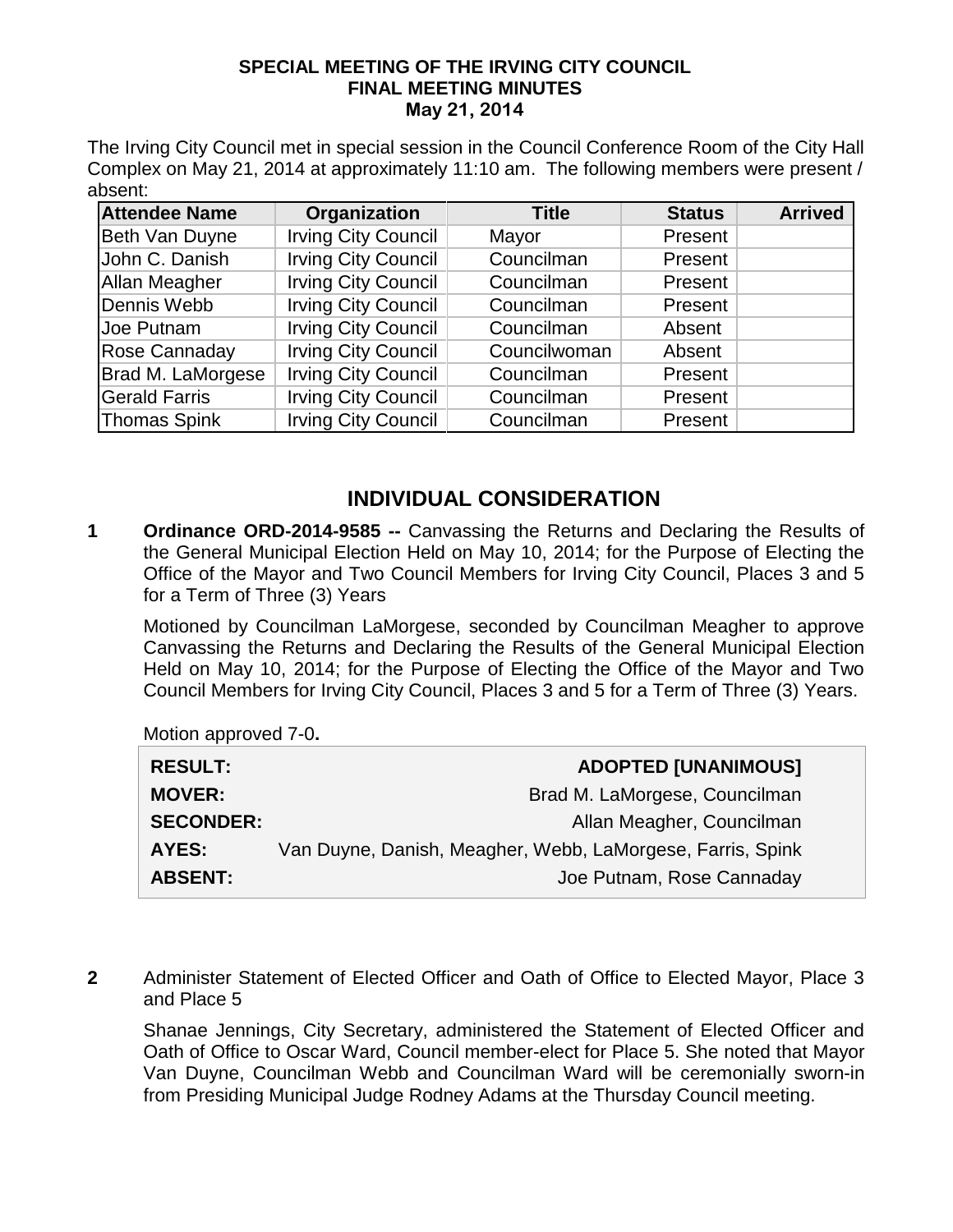## **SPECIAL MEETING OF THE IRVING CITY COUNCIL FINAL MEETING MINUTES May 21, 2014**

The Irving City Council met in special session in the Council Conference Room of the City Hall Complex on May 21, 2014 at approximately 11:10 am. The following members were present / absent:

| <b>Attendee Name</b> | Organization               | <b>Title</b> | <b>Status</b> | <b>Arrived</b> |
|----------------------|----------------------------|--------------|---------------|----------------|
| Beth Van Duyne       | <b>Irving City Council</b> | Mayor        | Present       |                |
| John C. Danish       | <b>Irving City Council</b> | Councilman   | Present       |                |
| Allan Meagher        | <b>Irving City Council</b> | Councilman   | Present       |                |
| Dennis Webb          | <b>Irving City Council</b> | Councilman   | Present       |                |
| Joe Putnam           | <b>Irving City Council</b> | Councilman   | Absent        |                |
| Rose Cannaday        | <b>Irving City Council</b> | Councilwoman | Absent        |                |
| Brad M. LaMorgese    | <b>Irving City Council</b> | Councilman   | Present       |                |
| <b>Gerald Farris</b> | <b>Irving City Council</b> | Councilman   | Present       |                |
| <b>Thomas Spink</b>  | <b>Irving City Council</b> | Councilman   | Present       |                |

## **INDIVIDUAL CONSIDERATION**

**1 Ordinance ORD-2014-9585 --** Canvassing the Returns and Declaring the Results of the General Municipal Election Held on May 10, 2014; for the Purpose of Electing the Office of the Mayor and Two Council Members for Irving City Council, Places 3 and 5 for a Term of Three (3) Years

Motioned by Councilman LaMorgese, seconded by Councilman Meagher to approve Canvassing the Returns and Declaring the Results of the General Municipal Election Held on May 10, 2014; for the Purpose of Electing the Office of the Mayor and Two Council Members for Irving City Council, Places 3 and 5 for a Term of Three (3) Years.

Motion approved 7-0**.**

| <b>RESULT:</b>   | <b>ADOPTED [UNANIMOUS]</b>                                 |
|------------------|------------------------------------------------------------|
| <b>MOVER:</b>    | Brad M. LaMorgese, Councilman                              |
| <b>SECONDER:</b> | Allan Meagher, Councilman                                  |
| AYES:            | Van Duyne, Danish, Meagher, Webb, LaMorgese, Farris, Spink |
| <b>ABSENT:</b>   | Joe Putnam, Rose Cannaday                                  |

**2** Administer Statement of Elected Officer and Oath of Office to Elected Mayor, Place 3 and Place 5

Shanae Jennings, City Secretary, administered the Statement of Elected Officer and Oath of Office to Oscar Ward, Council member-elect for Place 5. She noted that Mayor Van Duyne, Councilman Webb and Councilman Ward will be ceremonially sworn-in from Presiding Municipal Judge Rodney Adams at the Thursday Council meeting.